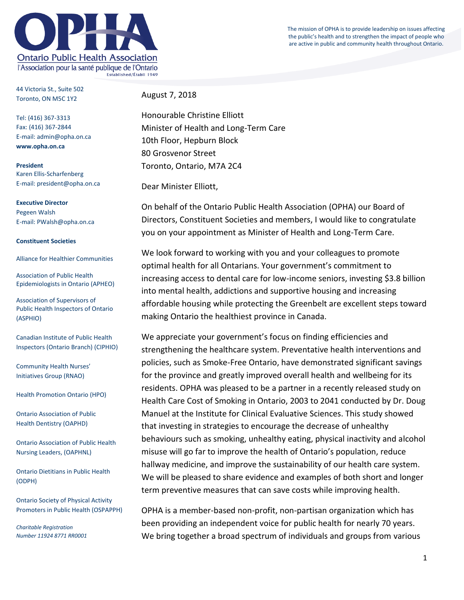The mission of OPHA is to provide leadership on issues affecting the public's health and to strengthen the impact of people who are active in public and community health throughout Ontario.



44 Victoria St., Suite 502 Toronto, ON M5C 1Y2

Tel: (416) 367-3313 Fax: (416) 367-2844 E-mail: admin@opha.on.ca **www.opha.on.ca**

**President** Karen Ellis-Scharfenberg E-mail: president@opha.on.ca

**Executive Director** Pegeen Walsh E-mail: PWalsh@opha.on.ca

## **Constituent Societies**

Alliance for Healthier Communities

Association of Public Health Epidemiologists in Ontario (APHEO)

Association of Supervisors of Public Health Inspectors of Ontario (ASPHIO)

Canadian Institute of Public Health Inspectors (Ontario Branch) (CIPHIO)

Community Health Nurses' Initiatives Group (RNAO)

Health Promotion Ontario (HPO)

Ontario Association of Public Health Dentistry (OAPHD)

Ontario Association of Public Health Nursing Leaders, (OAPHNL)

Ontario Dietitians in Public Health (ODPH)

Ontario Society of Physical Activity Promoters in Public Health (OSPAPPH)

*Charitable Registration Number 11924 8771 RR0001* August 7, 2018

Honourable Christine Elliott Minister of Health and Long-Term Care 10th Floor, Hepburn Block 80 Grosvenor Street Toronto, Ontario, M7A 2C4

Dear Minister Elliott,

On behalf of the Ontario Public Health Association (OPHA) our Board of Directors, Constituent Societies and members, I would like to congratulate you on your appointment as Minister of Health and Long-Term Care.

We look forward to working with you and your colleagues to promote optimal health for all Ontarians. Your government's commitment to increasing access to dental care for low-income seniors, investing \$3.8 billion into mental health, addictions and supportive housing and increasing affordable housing while protecting the Greenbelt are excellent steps toward making Ontario the healthiest province in Canada.

We appreciate your government's focus on finding efficiencies and strengthening the healthcare system. Preventative health interventions and policies, such as Smoke-Free Ontario, have demonstrated significant savings for the province and greatly improved overall health and wellbeing for its residents. OPHA was pleased to be a partner in a recently released study on Health Care Cost of Smoking in Ontario, 2003 to 2041 conducted by Dr. Doug Manuel at the Institute for Clinical Evaluative Sciences. This study showed that investing in strategies to encourage the decrease of unhealthy behaviours such as smoking, unhealthy eating, physical inactivity and alcohol misuse will go far to improve the health of Ontario's population, reduce hallway medicine, and improve the sustainability of our health care system. We will be pleased to share evidence and examples of both short and longer term preventive measures that can save costs while improving health.

OPHA is a member-based non-profit, non-partisan organization which has been providing an independent voice for public health for nearly 70 years. We bring together a broad spectrum of individuals and groups from various